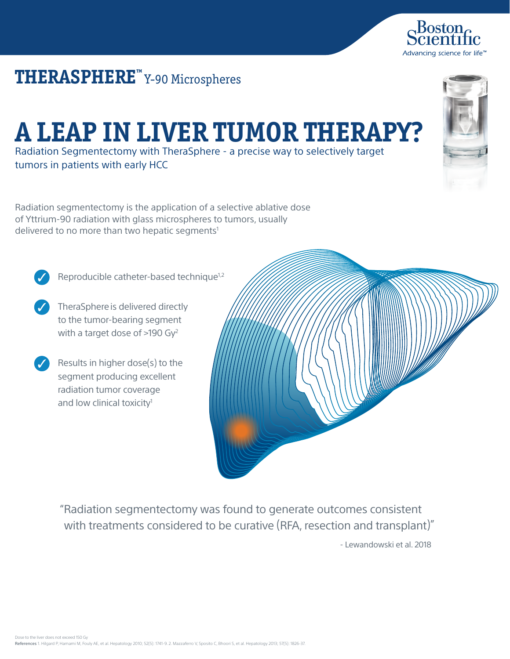## **THERASPHERE™** Y-90 Microspheres

## **A LEAP IN LIVER TUMOR THERAPY?**

Radiation Segmentectomy with TheraSphere - a precise way to selectively target tumors in patients with early HCC

Radiation segmentectomy is the application of a selective ablative dose of Yttrium-90 radiation with glass microspheres to tumors, usually delivered to no more than two hepatic segments<sup>1</sup>

Reproducible catheter-based technique<sup>1,2</sup>

- TheraSphere is delivered directly to the tumor-bearing segment with a target dose of >190 Gy<sup>2</sup>
- Results in higher dose(s) to the segment producing excellent radiation tumor coverage and low clinical toxicity<sup>1</sup>

"Radiation segmentectomy was found to generate outcomes consistent with treatments considered to be curative (RFA, resection and transplant)" - Lewandowski et al. 2018